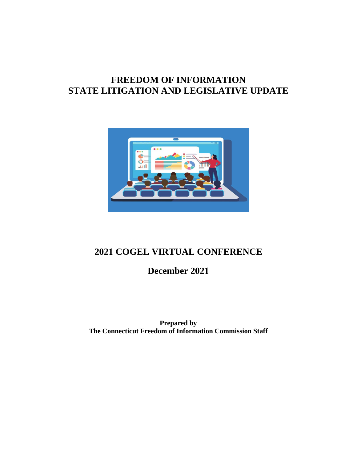# **FREEDOM OF INFORMATION STATE LITIGATION AND LEGISLATIVE UPDATE**



## **2021 COGEL VIRTUAL CONFERENCE**

**December 2021**

**Prepared by The Connecticut Freedom of Information Commission Staff**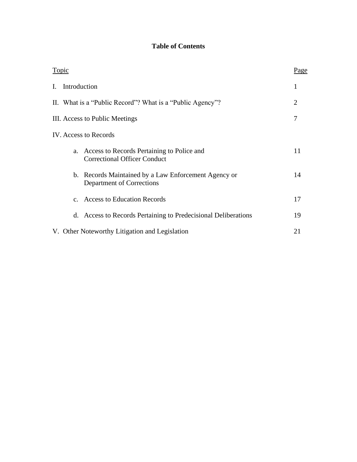### **Table of Contents**

| Topic                          |                                                |                                                                                   | Page |
|--------------------------------|------------------------------------------------|-----------------------------------------------------------------------------------|------|
| I.                             | Introduction                                   |                                                                                   | 1    |
|                                |                                                | II. What is a "Public Record"? What is a "Public Agency"?                         | 2    |
| III. Access to Public Meetings |                                                | 7                                                                                 |      |
|                                |                                                | IV. Access to Records                                                             |      |
|                                | a.                                             | Access to Records Pertaining to Police and<br><b>Correctional Officer Conduct</b> | 11   |
|                                |                                                | b. Records Maintained by a Law Enforcement Agency or<br>Department of Corrections | 14   |
|                                |                                                | c. Access to Education Records                                                    | 17   |
|                                |                                                | d. Access to Records Pertaining to Predecisional Deliberations                    | 19   |
|                                | V. Other Noteworthy Litigation and Legislation |                                                                                   |      |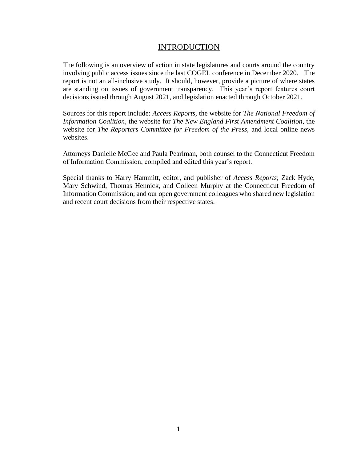### INTRODUCTION

The following is an overview of action in state legislatures and courts around the country involving public access issues since the last COGEL conference in December 2020. The report is not an all-inclusive study. It should, however, provide a picture of where states are standing on issues of government transparency. This year's report features court decisions issued through August 2021, and legislation enacted through October 2021.

Sources for this report include: *Access Reports,* the website for *The National Freedom of Information Coalition,* the website for *The New England First Amendment Coalition*, the website for *The Reporters Committee for Freedom of the Press,* and local online news websites.

Attorneys Danielle McGee and Paula Pearlman, both counsel to the Connecticut Freedom of Information Commission, compiled and edited this year's report.

Special thanks to Harry Hammitt, editor, and publisher of *Access Reports*; Zack Hyde, Mary Schwind, Thomas Hennick, and Colleen Murphy at the Connecticut Freedom of Information Commission; and our open government colleagues who shared new legislation and recent court decisions from their respective states.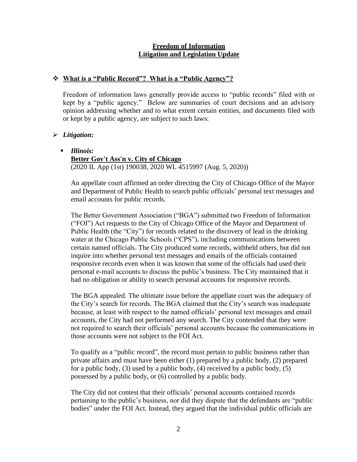#### **Freedom of Information Litigation and Legislation Update**

#### ❖ **What is a "Public Record"? What is a "Public Agency"?**

Freedom of information laws generally provide access to "public records" filed with or kept by a "public agency." Below are summaries of court decisions and an advisory opinion addressing whether and to what extent certain entities, and documents filed with or kept by a public agency, are subject to such laws:

#### ➢ *Litigation:*

#### ▪ *Illinois:*

#### **Better Gov't Ass'n v. City of Chicago**

(2020 IL App (1st) 190038, 2020 WL 4515997 (Aug. 5, 2020))

An appellate court affirmed an order directing the City of Chicago Office of the Mayor and Department of Public Health to search public officials' personal text messages and email accounts for public records.

The Better Government Association ("BGA") submitted two Freedom of Information ("FOI") Act requests to the City of Chicago Office of the Mayor and Department of Public Health (the "City") for records related to the discovery of lead in the drinking water at the Chicago Public Schools ("CPS"), including communications between certain named officials. The City produced some records, withheld others, but did not inquire into whether personal text messages and emails of the officials contained responsive records even when it was known that some of the officials had used their personal e-mail accounts to discuss the public's business. The City maintained that it had no obligation or ability to search personal accounts for responsive records.

The BGA appealed. The ultimate issue before the appellate court was the adequacy of the City's search for records. The BGA claimed that the City's search was inadequate because, at least with respect to the named officials' personal text messages and email accounts, the City had not performed any search. The City contended that they were not required to search their officials' personal accounts because the communications in those accounts were not subject to the FOI Act.

To qualify as a "public record", the record must pertain to public business rather than private affairs and must have been either (1) prepared by a public body, (2) prepared for a public body,  $(3)$  used by a public body,  $(4)$  received by a public body,  $(5)$ possessed by a public body, or (6) controlled by a public body.

The City did not contest that their officials' personal accounts contained records pertaining to the public's business, nor did they dispute that the defendants are "public bodies" under the FOI Act. Instead, they argued that the individual public officials are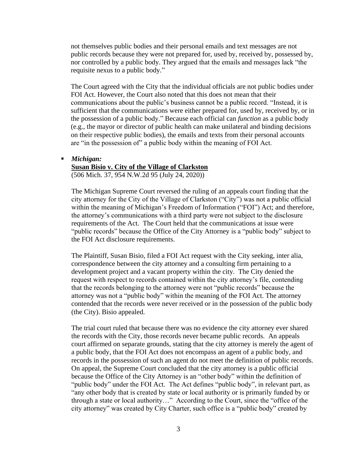not themselves public bodies and their personal emails and text messages are not public records because they were not prepared for, used by, received by, possessed by, nor controlled by a public body. They argued that the emails and messages lack "the requisite nexus to a public body."

The Court agreed with the City that the individual officials are not public bodies under FOI Act. However, the Court also noted that this does not mean that their communications about the public's business cannot be a public record. "Instead, it is sufficient that the communications were either prepared for, used by, received by, or in the possession of a public body." Because each official can *function* as a public body (e.g., the mayor or director of public health can make unilateral and binding decisions on their respective public bodies), the emails and texts from their personal accounts are "in the possession of" a public body within the meaning of FOI Act.

#### ▪ *Michigan:*

#### **Susan Bisio v. City of the Village of Clarkston**

(506 Mich. 37, 954 N.W.2d 95 (July 24, 2020))

The Michigan Supreme Court reversed the ruling of an appeals court finding that the city attorney for the City of the Village of Clarkston ("City") was not a public official within the meaning of Michigan's Freedom of Information ("FOI") Act; and therefore, the attorney's communications with a third party were not subject to the disclosure requirements of the Act. The Court held that the communications at issue were "public records" because the Office of the City Attorney is a "public body" subject to the FOI Act disclosure requirements.

The Plaintiff, Susan Bisio, filed a FOI Act request with the City seeking, inter alia, correspondence between the city attorney and a consulting firm pertaining to a development project and a vacant property within the city. The City denied the request with respect to records contained within the city attorney's file, contending that the records belonging to the attorney were not "public records" because the attorney was not a "public body" within the meaning of the FOI Act. The attorney contended that the records were never received or in the possession of the public body (the City). Bisio appealed.

The trial court ruled that because there was no evidence the city attorney ever shared the records with the City, those records never became public records. An appeals court affirmed on separate grounds, stating that the city attorney is merely the agent of a public body, that the FOI Act does not encompass an agent of a public body, and records in the possession of such an agent do not meet the definition of public records. On appeal, the Supreme Court concluded that the city attorney is a public official because the Office of the City Attorney is an "other body" within the definition of "public body" under the FOI Act. The Act defines "public body", in relevant part, as "any other body that is created by state or local authority or is primarily funded by or through a state or local authority…" According to the Court, since the "office of the city attorney" was created by City Charter, such office is a "public body" created by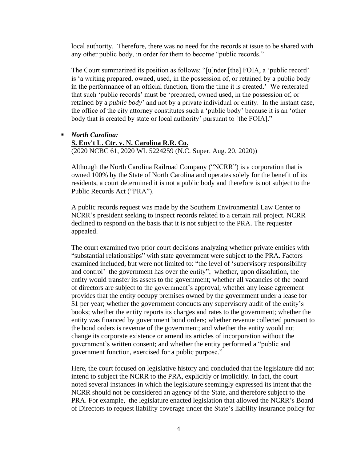local authority. Therefore, there was no need for the records at issue to be shared with any other public body, in order for them to become "public records."

The Court summarized its position as follows: "[u]nder [the] FOIA, a 'public record' is 'a writing prepared, owned, used, in the possession of, or retained by a public body in the performance of an official function, from the time it is created.' We reiterated that such 'public records' must be 'prepared, owned used, in the possession of, or retained by a *public body*' and not by a private individual or entity. In the instant case, the office of the city attorney constitutes such a 'public body' because it is an 'other body that is created by state or local authority' pursuant to [the FOIA]."

- *North Carolina:*
	- **S. Env't L. Ctr. v. N. Carolina R.R. Co.**

(2020 NCBC 61, 2020 WL 5224259 (N.C. Super. Aug. 20, 2020))

Although the North Carolina Railroad Company ("NCRR") is a corporation that is owned 100% by the State of North Carolina and operates solely for the benefit of its residents, a court determined it is not a public body and therefore is not subject to the Public Records Act ("PRA").

A public records request was made by the Southern Environmental Law Center to NCRR's president seeking to inspect records related to a certain rail project. NCRR declined to respond on the basis that it is not subject to the PRA. The requester appealed.

The court examined two prior court decisions analyzing whether private entities with "substantial relationships" with state government were subject to the PRA. Factors examined included, but were not limited to: "the level of 'supervisory responsibility and control' the government has over the entity"; whether, upon dissolution, the entity would transfer its assets to the government; whether all vacancies of the board of directors are subject to the government's approval; whether any lease agreement provides that the entity occupy premises owned by the government under a lease for \$1 per year; whether the government conducts any supervisory audit of the entity's books; whether the entity reports its charges and rates to the government; whether the entity was financed by government bond orders; whether revenue collected pursuant to the bond orders is revenue of the government; and whether the entity would not change its corporate existence or amend its articles of incorporation without the government's written consent; and whether the entity performed a "public and government function, exercised for a public purpose."

Here, the court focused on legislative history and concluded that the legislature did not intend to subject the NCRR to the PRA, explicitly or implicitly. In fact, the court noted several instances in which the legislature seemingly expressed its intent that the NCRR should not be considered an agency of the State, and therefore subject to the PRA. For example, the legislature enacted legislation that allowed the NCRR's Board of Directors to request liability coverage under the State's liability insurance policy for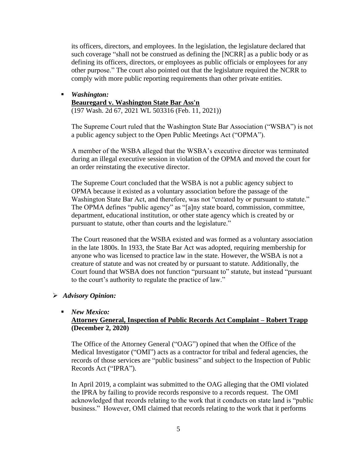its officers, directors, and employees. In the legislation, the legislature declared that such coverage "shall not be construed as defining the [NCRR] as a public body or as defining its officers, directors, or employees as public officials or employees for any other purpose." The court also pointed out that the legislature required the NCRR to comply with more public reporting requirements than other private entities.

▪ *Washington:*

**Beauregard v. Washington State Bar Ass'n** (197 Wash. 2d 67, 2021 WL 503316 (Feb. 11, 2021))

The Supreme Court ruled that the Washington State Bar Association ("WSBA") is not a public agency subject to the Open Public Meetings Act ("OPMA").

A member of the WSBA alleged that the WSBA's executive director was terminated during an illegal executive session in violation of the OPMA and moved the court for an order reinstating the executive director.

The Supreme Court concluded that the WSBA is not a public agency subject to OPMA because it existed as a voluntary association before the passage of the Washington State Bar Act, and therefore, was not "created by or pursuant to statute." The OPMA defines "public agency" as "[a]ny state board, commission, committee, department, educational institution, or other state agency which is created by or pursuant to statute, other than courts and the legislature."

The Court reasoned that the WSBA existed and was formed as a voluntary association in the late 1800s. In 1933, the State Bar Act was adopted, requiring membership for anyone who was licensed to practice law in the state. However, the WSBA is not a creature of statute and was not created by or pursuant to statute. Additionally, the Court found that WSBA does not function "pursuant to" statute, but instead "pursuant to the court's authority to regulate the practice of law."

#### ➢ *Advisory Opinion:*

#### ■ *New Mexico:*

#### **Attorney General, Inspection of Public Records Act Complaint – Robert Trapp (December 2, 2020)**

The Office of the Attorney General ("OAG") opined that when the Office of the Medical Investigator ("OMI") acts as a contractor for tribal and federal agencies, the records of those services are "public business" and subject to the Inspection of Public Records Act ("IPRA").

In April 2019, a complaint was submitted to the OAG alleging that the OMI violated the IPRA by failing to provide records responsive to a records request. The OMI acknowledged that records relating to the work that it conducts on state land is "public business." However, OMI claimed that records relating to the work that it performs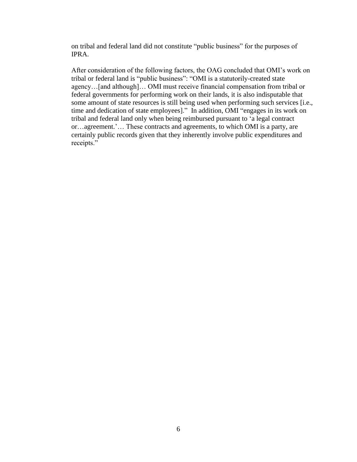on tribal and federal land did not constitute "public business" for the purposes of IPRA.

After consideration of the following factors, the OAG concluded that OMI's work on tribal or federal land is "public business": "OMI is a statutorily-created state agency…[and although]… OMI must receive financial compensation from tribal or federal governments for performing work on their lands, it is also indisputable that some amount of state resources is still being used when performing such services [i.e., time and dedication of state employees]." In addition, OMI "engages in its work on tribal and federal land only when being reimbursed pursuant to 'a legal contract or…agreement.'… These contracts and agreements, to which OMI is a party, are certainly public records given that they inherently involve public expenditures and receipts."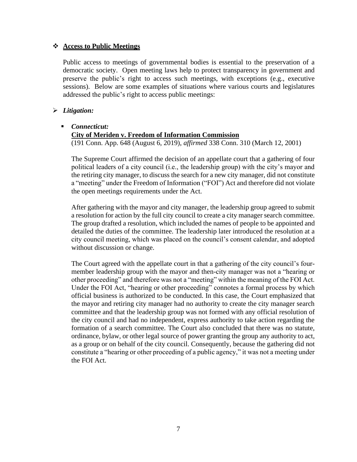#### ❖ **Access to Public Meetings**

Public access to meetings of governmental bodies is essential to the preservation of a democratic society. Open meeting laws help to protect transparency in government and preserve the public's right to access such meetings, with exceptions (e.g., executive sessions). Below are some examples of situations where various courts and legislatures addressed the public's right to access public meetings:

#### ➢ *Litigation:*

#### ▪ *Connecticut:*

#### **City of Meriden v. Freedom of Information Commission**

(191 Conn. App. 648 (August 6, 2019), *affirmed* 338 Conn. 310 (March 12, 2001)

The Supreme Court affirmed the decision of an appellate court that a gathering of four political leaders of a city council (i.e., the leadership group) with the city's mayor and the retiring city manager, to discuss the search for a new city manager, did not constitute a "meeting" under the Freedom of Information ("FOI") Act and therefore did not violate the open meetings requirements under the Act.

After gathering with the mayor and city manager, the leadership group agreed to submit a resolution for action by the full city council to create a city manager search committee. The group drafted a resolution, which included the names of people to be appointed and detailed the duties of the committee. The leadership later introduced the resolution at a city council meeting, which was placed on the council's consent calendar, and adopted without discussion or change.

The Court agreed with the appellate court in that a gathering of the city council's fourmember leadership group with the mayor and then-city manager was not a "hearing or other proceeding" and therefore was not a "meeting" within the meaning of the FOI Act. Under the FOI Act, "hearing or other proceeding" connotes a formal process by which official business is authorized to be conducted. In this case, the Court emphasized that the mayor and retiring city manager had no authority to create the city manager search committee and that the leadership group was not formed with any official resolution of the city council and had no independent, express authority to take action regarding the formation of a search committee. The Court also concluded that there was no statute, ordinance, bylaw, or other legal source of power granting the group any authority to act, as a group or on behalf of the city council. Consequently, because the gathering did not constitute a "hearing or other proceeding of a public agency," it was not a meeting under the FOI Act.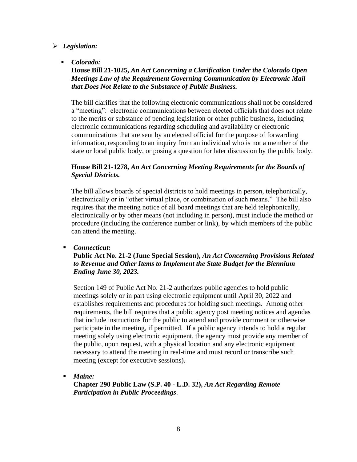#### ➢ *Legislation:*

▪ *Colorado:*

**House Bill 21-1025,** *An Act Concerning a Clarification Under the Colorado Open Meetings Law of the Requirement Governing Communication by Electronic Mail that Does Not Relate to the Substance of Public Business.*

The bill clarifies that the following electronic communications shall not be considered a "meeting": electronic communications between elected officials that does not relate to the merits or substance of pending legislation or other public business, including electronic communications regarding scheduling and availability or electronic communications that are sent by an elected official for the purpose of forwarding information, responding to an inquiry from an individual who is not a member of the state or local public body, or posing a question for later discussion by the public body.

#### **House Bill 21-1278,** *An Act Concerning Meeting Requirements for the Boards of Special Districts.*

The bill allows boards of special districts to hold meetings in person, telephonically, electronically or in "other virtual place, or combination of such means." The bill also requires that the meeting notice of all board meetings that are held telephonically, electronically or by other means (not including in person), must include the method or procedure (including the conference number or link), by which members of the public can attend the meeting.

▪ *Connecticut:*

**Public Act No. 21-2 (June Special Session),** *An Act Concerning Provisions Related to Revenue and Other Items to Implement the State Budget for the Biennium Ending June 30, 2023.*

Section 149 of Public Act No. 21-2 authorizes public agencies to hold public meetings solely or in part using electronic equipment until April 30, 2022 and establishes requirements and procedures for holding such meetings. Among other requirements, the bill requires that a public agency post meeting notices and agendas that include instructions for the public to attend and provide comment or otherwise participate in the meeting, if permitted. If a public agency intends to hold a regular meeting solely using electronic equipment, the agency must provide any member of the public, upon request, with a physical location and any electronic equipment necessary to attend the meeting in real-time and must record or transcribe such meeting (except for executive sessions).

*Maine:* 

**Chapter 290 Public Law (S.P. 40 - L.D. 32),** *An Act Regarding Remote Participation in Public Proceedings*.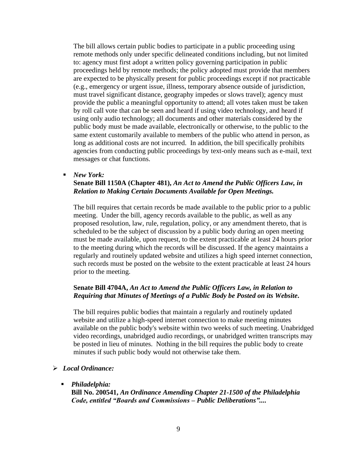The bill allows certain public bodies to participate in a public proceeding using remote methods only under specific delineated conditions including, but not limited to: agency must first adopt a written policy governing participation in public proceedings held by remote methods; the policy adopted must provide that members are expected to be physically present for public proceedings except if not practicable (e.g., emergency or urgent issue, illness, temporary absence outside of jurisdiction, must travel significant distance, geography impedes or slows travel); agency must provide the public a meaningful opportunity to attend; all votes taken must be taken by roll call vote that can be seen and heard if using video technology, and heard if using only audio technology; all documents and other materials considered by the public body must be made available, electronically or otherwise, to the public to the same extent customarily available to members of the public who attend in person, as long as additional costs are not incurred. In addition, the bill specifically prohibits agencies from conducting public proceedings by text-only means such as e-mail, text messages or chat functions.

▪ *New York:*

#### **Senate Bill 1150A (Chapter 481),** *An Act to Amend the Public Officers Law, in Relation to Making Certain Documents Available for Open Meetings.*

The bill requires that certain records be made available to the public prior to a public meeting. Under the bill, agency records available to the public, as well as any proposed resolution, law, rule, regulation, policy, or any amendment thereto, that is scheduled to be the subject of discussion by a public body during an open meeting must be made available, upon request, to the extent practicable at least 24 hours prior to the meeting during which the records will be discussed. If the agency maintains a regularly and routinely updated website and utilizes a high speed internet connection, such records must be posted on the website to the extent practicable at least 24 hours prior to the meeting.

#### **Senate Bill 4704A,** *An Act to Amend the Public Officers Law, in Relation to Requiring that Minutes of Meetings of a Public Body be Posted on its Website***.**

The bill requires public bodies that maintain a regularly and routinely updated website and utilize a high-speed internet connection to make meeting minutes available on the public body's website within two weeks of such meeting. Unabridged video recordings, unabridged audio recordings, or unabridged written transcripts may be posted in lieu of minutes. Nothing in the bill requires the public body to create minutes if such public body would not otherwise take them.

#### ➢ *Local Ordinance:*

#### ▪ *Philadelphia:*

**Bill No. 200541,** *An Ordinance Amending Chapter 21-1500 of the Philadelphia Code, entitled "Boards and Commissions – Public Deliberations"....*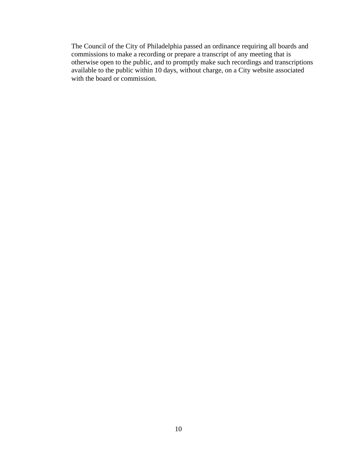The Council of the City of Philadelphia passed an ordinance requiring all boards and commissions to make a recording or prepare a transcript of any meeting that is otherwise open to the public, and to promptly make such recordings and transcriptions available to the public within 10 days, without charge, on a City website associated with the board or commission.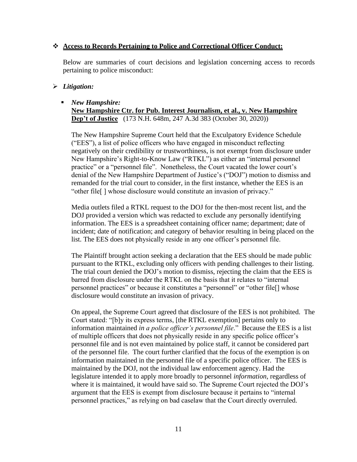#### ❖ **Access to Records Pertaining to Police and Correctional Officer Conduct:**

Below are summaries of court decisions and legislation concerning access to records pertaining to police misconduct:

#### ➢ *Litigation:*

#### ▪ *New Hampshire:* **New Hampshire Ctr. for Pub. Interest Journalism, et al., v. New Hampshire Dep't of Justice** (173 N.H. 648m, 247 A.3d 383 (October 30, 2020))

The New Hampshire Supreme Court held that the Exculpatory Evidence Schedule ("EES"), a list of police officers who have engaged in misconduct reflecting negatively on their credibility or trustworthiness, is not exempt from disclosure under New Hampshire's Right-to-Know Law ("RTKL") as either an "internal personnel practice" or a "personnel file". Nonetheless, the Court vacated the lower court's denial of the New Hampshire Department of Justice's ("DOJ") motion to dismiss and remanded for the trial court to consider, in the first instance, whether the EES is an "other file[ ] whose disclosure would constitute an invasion of privacy."

Media outlets filed a RTKL request to the DOJ for the then-most recent list, and the DOJ provided a version which was redacted to exclude any personally identifying information. The EES is a spreadsheet containing officer name; department; date of incident; date of notification; and category of behavior resulting in being placed on the list. The EES does not physically reside in any one officer's personnel file.

The Plaintiff brought action seeking a declaration that the EES should be made public pursuant to the RTKL, excluding only officers with pending challenges to their listing. The trial court denied the DOJ's motion to dismiss, rejecting the claim that the EES is barred from disclosure under the RTKL on the basis that it relates to "internal personnel practices" or because it constitutes a "personnel" or "other file[] whose disclosure would constitute an invasion of privacy.

On appeal, the Supreme Court agreed that disclosure of the EES is not prohibited. The Court stated: "[b]y its express terms, [the RTKL exemption] pertains only to information maintained *in a police officer's personnel file*." Because the EES is a list of multiple officers that does not physically reside in any specific police officer's personnel file and is not even maintained by police staff, it cannot be considered part of the personnel file. The court further clarified that the focus of the exemption is on information maintained in the personnel file of a specific police officer. The EES is maintained by the DOJ, not the individual law enforcement agency. Had the legislature intended it to apply more broadly to personnel *information*, regardless of where it is maintained, it would have said so. The Supreme Court rejected the DOJ's argument that the EES is exempt from disclosure because it pertains to "internal personnel practices," as relying on bad caselaw that the Court directly overruled.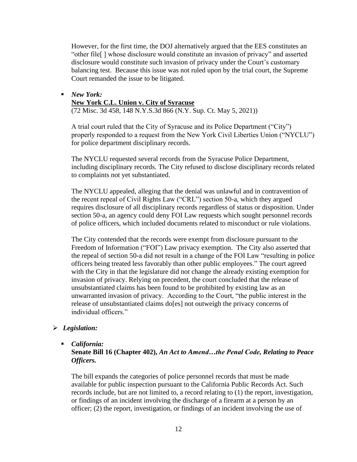However, for the first time, the DOJ alternatively argued that the EES constitutes an "other file[ ] whose disclosure would constitute an invasion of privacy" and asserted disclosure would constitute such invasion of privacy under the Court's customary balancing test. Because this issue was not ruled upon by the trial court, the Supreme Court remanded the issue to be litigated.

### ▪ *New York:* **New York C.L. Union v. City of Syracuse**

(72 Misc. 3d 458, 148 N.Y.S.3d 866 (N.Y. Sup. Ct. May 5, 2021))

A trial court ruled that the City of Syracuse and its Police Department ("City") properly responded to a request from the New York Civil Liberties Union ("NYCLU") for police department disciplinary records.

The NYCLU requested several records from the Syracuse Police Department, including disciplinary records. The City refused to disclose disciplinary records related to complaints not yet substantiated.

The NYCLU appealed, alleging that the denial was unlawful and in contravention of the recent repeal of Civil Rights Law ("CRL") section 50-a, which they argued requires disclosure of all disciplinary records regardless of status or disposition. Under section 50-a, an agency could deny FOI Law requests which sought personnel records of police officers, which included documents related to misconduct or rule violations.

The City contended that the records were exempt from disclosure pursuant to the Freedom of Information ("FOI") Law privacy exemption. The City also asserted that the repeal of section 50-a did not result in a change of the FOI Law "resulting in police officers being treated less favorably than other public employees." The court agreed with the City in that the legislature did not change the already existing exemption for invasion of privacy. Relying on precedent, the court concluded that the release of unsubstantiated claims has been found to be prohibited by existing law as an unwarranted invasion of privacy. According to the Court, "the public interest in the release of unsubstantiated claims do[es] not outweigh the privacy concerns of individual officers."

#### ➢ *Legislation:*

### ▪ *California:*

#### **Senate Bill 16 (Chapter 402),** *An Act to Amend…the Penal Code, Relating to Peace Officers.*

The bill expands the categories of police personnel records that must be made available for public inspection pursuant to the California Public Records Act. Such records include, but are not limited to, a record relating to (1) the report, investigation, or findings of an incident involving the discharge of a firearm at a person by an officer; (2) the report, investigation, or findings of an incident involving the use of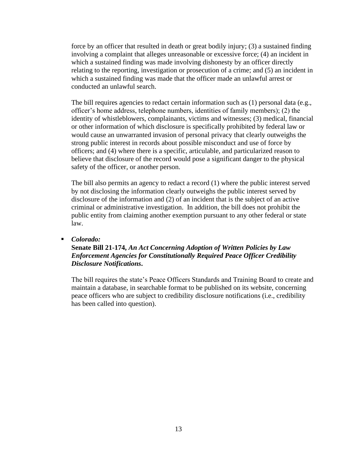force by an officer that resulted in death or great bodily injury; (3) a sustained finding involving a complaint that alleges unreasonable or excessive force; (4) an incident in which a sustained finding was made involving dishonesty by an officer directly relating to the reporting, investigation or prosecution of a crime; and (5) an incident in which a sustained finding was made that the officer made an unlawful arrest or conducted an unlawful search.

The bill requires agencies to redact certain information such as (1) personal data (e.g., officer's home address, telephone numbers, identities of family members); (2) the identity of whistleblowers, complainants, victims and witnesses; (3) medical, financial or other information of which disclosure is specifically prohibited by federal law or would cause an unwarranted invasion of personal privacy that clearly outweighs the strong public interest in records about possible misconduct and use of force by officers; and (4) where there is a specific, articulable, and particularized reason to believe that disclosure of the record would pose a significant danger to the physical safety of the officer, or another person.

The bill also permits an agency to redact a record (1) where the public interest served by not disclosing the information clearly outweighs the public interest served by disclosure of the information and (2) of an incident that is the subject of an active criminal or administrative investigation. In addition, the bill does not prohibit the public entity from claiming another exemption pursuant to any other federal or state law.

#### ▪ *Colorado:*

#### **Senate Bill 21-174,** *An Act Concerning Adoption of Written Policies by Law Enforcement Agencies for Constitutionally Required Peace Officer Credibility Disclosure Notifications***.**

The bill requires the state's Peace Officers Standards and Training Board to create and maintain a database, in searchable format to be published on its website, concerning peace officers who are subject to credibility disclosure notifications (i.e., credibility has been called into question).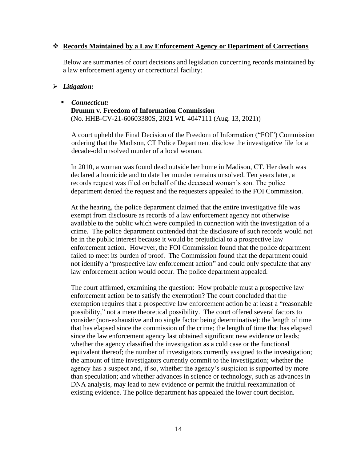#### ❖ **Records Maintained by a Law Enforcement Agency or Department of Corrections**

Below are summaries of court decisions and legislation concerning records maintained by a law enforcement agency or correctional facility:

#### ➢ *Litigation:*

#### ▪ *Connecticut:* **Drumm v. Freedom of Information Commission** (No. HHB-CV-21-60603380S, 2021 WL 4047111 (Aug. 13, 2021))

A court upheld the Final Decision of the Freedom of Information ("FOI") Commission ordering that the Madison, CT Police Department disclose the investigative file for a decade-old unsolved murder of a local woman.

In 2010, a woman was found dead outside her home in Madison, CT. Her death was declared a homicide and to date her murder remains unsolved. Ten years later, a records request was filed on behalf of the deceased woman's son. The police department denied the request and the requesters appealed to the FOI Commission.

At the hearing, the police department claimed that the entire investigative file was exempt from disclosure as records of a law enforcement agency not otherwise available to the public which were compiled in connection with the investigation of a crime. The police department contended that the disclosure of such records would not be in the public interest because it would be prejudicial to a prospective law enforcement action. However, the FOI Commission found that the police department failed to meet its burden of proof. The Commission found that the department could not identify a "prospective law enforcement action" and could only speculate that any law enforcement action would occur. The police department appealed.

The court affirmed, examining the question: How probable must a prospective law enforcement action be to satisfy the exemption? The court concluded that the exemption requires that a prospective law enforcement action be at least a "reasonable possibility," not a mere theoretical possibility. The court offered several factors to consider (non-exhaustive and no single factor being determinative): the length of time that has elapsed since the commission of the crime; the length of time that has elapsed since the law enforcement agency last obtained significant new evidence or leads; whether the agency classified the investigation as a cold case or the functional equivalent thereof; the number of investigators currently assigned to the investigation; the amount of time investigators currently commit to the investigation; whether the agency has a suspect and, if so, whether the agency's suspicion is supported by more than speculation; and whether advances in science or technology, such as advances in DNA analysis, may lead to new evidence or permit the fruitful reexamination of existing evidence. The police department has appealed the lower court decision.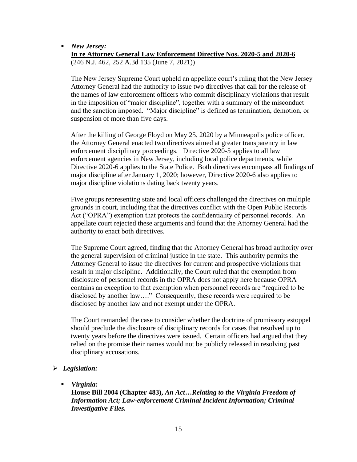■ *New Jersey:* **In re Attorney General Law Enforcement Directive Nos. 2020-5 and 2020-6** (246 N.J. 462, 252 A.3d 135 (June 7, 2021))

The New Jersey Supreme Court upheld an appellate court's ruling that the New Jersey Attorney General had the authority to issue two directives that call for the release of the names of law enforcement officers who commit disciplinary violations that result in the imposition of "major discipline", together with a summary of the misconduct and the sanction imposed. "Major discipline" is defined as termination, demotion, or suspension of more than five days.

After the killing of George Floyd on May 25, 2020 by a Minneapolis police officer, the Attorney General enacted two directives aimed at greater transparency in law enforcement disciplinary proceedings. Directive 2020-5 applies to all law enforcement agencies in New Jersey, including local police departments, while Directive 2020-6 applies to the State Police. Both directives encompass all findings of major discipline after January 1, 2020; however, Directive 2020-6 also applies to major discipline violations dating back twenty years.

Five groups representing state and local officers challenged the directives on multiple grounds in court, including that the directives conflict with the Open Public Records Act ("OPRA") exemption that protects the confidentiality of personnel records. An appellate court rejected these arguments and found that the Attorney General had the authority to enact both directives.

The Supreme Court agreed, finding that the Attorney General has broad authority over the general supervision of criminal justice in the state. This authority permits the Attorney General to issue the directives for current and prospective violations that result in major discipline. Additionally, the Court ruled that the exemption from disclosure of personnel records in the OPRA does not apply here because OPRA contains an exception to that exemption when personnel records are "required to be disclosed by another law…." Consequently, these records were required to be disclosed by another law and not exempt under the OPRA.

The Court remanded the case to consider whether the doctrine of promissory estoppel should preclude the disclosure of disciplinary records for cases that resolved up to twenty years before the directives were issued. Certain officers had argued that they relied on the promise their names would not be publicly released in resolving past disciplinary accusations.

#### ➢ *Legislation:*

#### ▪ *Virginia:*

**House Bill 2004 (Chapter 483),** *An Act…Relating to the Virginia Freedom of Information Act; Law-enforcement Criminal Incident Information; Criminal Investigative Files.*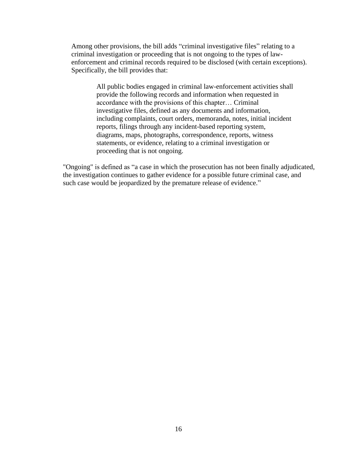Among other provisions, the bill adds "criminal investigative files" relating to a criminal investigation or proceeding that is not ongoing to the types of lawenforcement and criminal records required to be disclosed (with certain exceptions). Specifically, the bill provides that:

> All public bodies engaged in criminal law-enforcement activities shall provide the following records and information when requested in accordance with the provisions of this chapter… Criminal investigative files, defined as any documents and information, including complaints, court orders, memoranda, notes, initial incident reports, filings through any incident-based reporting system, diagrams, maps, photographs, correspondence, reports, witness statements, or evidence, relating to a criminal investigation or proceeding that is not ongoing.

"Ongoing" is defined as "a case in which the prosecution has not been finally adjudicated, the investigation continues to gather evidence for a possible future criminal case, and such case would be jeopardized by the premature release of evidence."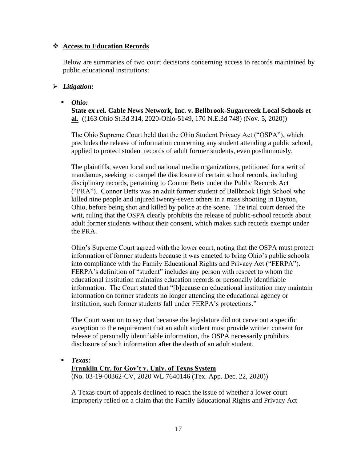#### ❖ **Access to Education Records**

Below are summaries of two court decisions concerning access to records maintained by public educational institutions:

#### ➢ *Litigation:*

▪ *Ohio:* 

**State ex rel. Cable News Network, Inc. v. Bellbrook-Sugarcreek Local Schools et al.** ((163 Ohio St.3d 314, 2020-Ohio-5149, 170 N.E.3d 748) (Nov. 5, 2020))

The Ohio Supreme Court held that the Ohio Student Privacy Act ("OSPA"), which precludes the release of information concerning any student attending a public school, applied to protect student records of adult former students, even posthumously.

The plaintiffs, seven local and national media organizations, petitioned for a writ of mandamus, seeking to compel the disclosure of certain school records, including disciplinary records, pertaining to Connor Betts under the Public Records Act ("PRA"). Connor Betts was an adult former student of Bellbrook High School who killed nine people and injured twenty-seven others in a mass shooting in Dayton, Ohio, before being shot and killed by police at the scene. The trial court denied the writ, ruling that the OSPA clearly prohibits the release of public-school records about adult former students without their consent, which makes such records exempt under the PRA.

Ohio's Supreme Court agreed with the lower court, noting that the OSPA must protect information of former students because it was enacted to bring Ohio's public schools into compliance with the Family Educational Rights and Privacy Act ("FERPA"). FERPA's definition of "student" includes any person with respect to whom the educational institution maintains education records or personally identifiable information. The Court stated that "[b]ecause an educational institution may maintain information on former students no longer attending the educational agency or institution, such former students fall under FERPA's protections."

The Court went on to say that because the legislature did not carve out a specific exception to the requirement that an adult student must provide written consent for release of personally identifiable information, the OSPA necessarily prohibits disclosure of such information after the death of an adult student.

▪ *Texas:*

### **Franklin Ctr. for Gov't v. Univ. of Texas System**

(No. 03-19-00362-CV, 2020 WL 7640146 (Tex. App. Dec. 22, 2020))

A Texas court of appeals declined to reach the issue of whether a lower court improperly relied on a claim that the Family Educational Rights and Privacy Act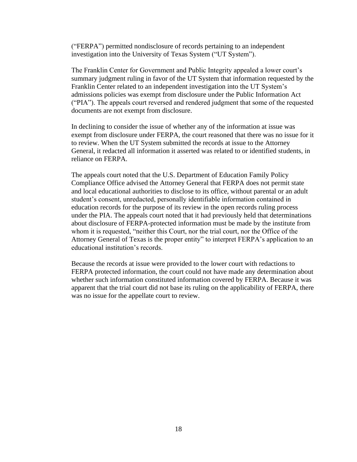("FERPA") permitted nondisclosure of records pertaining to an independent investigation into the University of Texas System ("UT System").

The Franklin Center for Government and Public Integrity appealed a lower court's summary judgment ruling in favor of the UT System that information requested by the Franklin Center related to an independent investigation into the UT System's admissions policies was exempt from disclosure under the Public Information Act ("PIA"). The appeals court reversed and rendered judgment that some of the requested documents are not exempt from disclosure.

In declining to consider the issue of whether any of the information at issue was exempt from disclosure under FERPA, the court reasoned that there was no issue for it to review. When the UT System submitted the records at issue to the Attorney General, it redacted all information it asserted was related to or identified students, in reliance on FERPA.

The appeals court noted that the U.S. Department of Education Family Policy Compliance Office advised the Attorney General that FERPA does not permit state and local educational authorities to disclose to its office, without parental or an adult student's consent, unredacted, personally identifiable information contained in education records for the purpose of its review in the open records ruling process under the PIA. The appeals court noted that it had previously held that determinations about disclosure of FERPA-protected information must be made by the institute from whom it is requested, "neither this Court, nor the trial court, nor the Office of the Attorney General of Texas is the proper entity" to interpret FERPA's application to an educational institution's records.

Because the records at issue were provided to the lower court with redactions to FERPA protected information, the court could not have made any determination about whether such information constituted information covered by FERPA. Because it was apparent that the trial court did not base its ruling on the applicability of FERPA, there was no issue for the appellate court to review.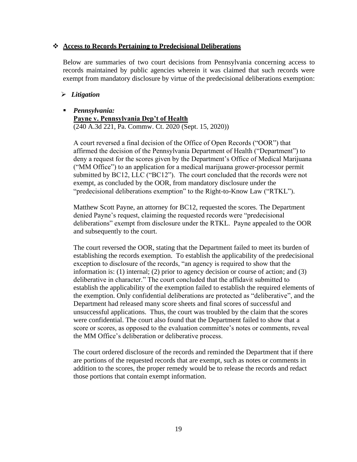#### ❖ **Access to Records Pertaining to Predecisional Deliberations**

Below are summaries of two court decisions from Pennsylvania concerning access to records maintained by public agencies wherein it was claimed that such records were exempt from mandatory disclosure by virtue of the predecisional deliberations exemption:

#### ➢ *Litigation*

### ▪ *Pennsylvania:*

**Payne v. Pennsylvania Dep't of Health**  (240 A.3d 221, Pa. Commw. Ct. 2020 (Sept. 15, 2020))

A court reversed a final decision of the Office of Open Records ("OOR") that affirmed the decision of the Pennsylvania Department of Health ("Department") to deny a request for the scores given by the Department's Office of Medical Marijuana ("MM Office") to an application for a medical marijuana grower-processor permit submitted by BC12, LLC ("BC12"). The court concluded that the records were not exempt, as concluded by the OOR, from mandatory disclosure under the "predecisional deliberations exemption" to the Right-to-Know Law ("RTKL").

Matthew Scott Payne, an attorney for BC12, requested the scores. The Department denied Payne's request, claiming the requested records were "predecisional deliberations" exempt from disclosure under the RTKL. Payne appealed to the OOR and subsequently to the court.

The court reversed the OOR, stating that the Department failed to meet its burden of establishing the records exemption. To establish the applicability of the predecisional exception to disclosure of the records, "an agency is required to show that the information is: (1) internal; (2) prior to agency decision or course of action; and (3) deliberative in character." The court concluded that the affidavit submitted to establish the applicability of the exemption failed to establish the required elements of the exemption. Only confidential deliberations are protected as "deliberative", and the Department had released many score sheets and final scores of successful and unsuccessful applications. Thus, the court was troubled by the claim that the scores were confidential. The court also found that the Department failed to show that a score or scores, as opposed to the evaluation committee's notes or comments, reveal the MM Office's deliberation or deliberative process.

The court ordered disclosure of the records and reminded the Department that if there are portions of the requested records that are exempt, such as notes or comments in addition to the scores, the proper remedy would be to release the records and redact those portions that contain exempt information.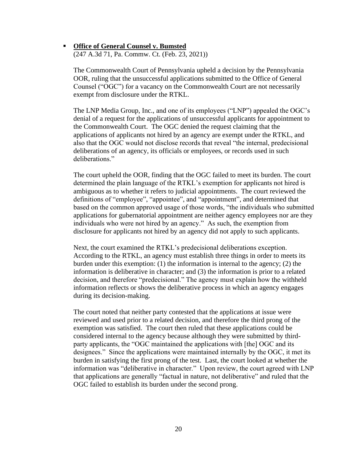# ▪ **Office of General Counsel v. Bumsted**

(247 A.3d 71, Pa. Commw. Ct. (Feb. 23, 2021))

The Commonwealth Court of Pennsylvania upheld a decision by the Pennsylvania OOR, ruling that the unsuccessful applications submitted to the Office of General Counsel ("OGC") for a vacancy on the Commonwealth Court are not necessarily exempt from disclosure under the RTKL.

The LNP Media Group, Inc., and one of its employees ("LNP") appealed the OGC's denial of a request for the applications of unsuccessful applicants for appointment to the Commonwealth Court. The OGC denied the request claiming that the applications of applicants not hired by an agency are exempt under the RTKL, and also that the OGC would not disclose records that reveal "the internal, predecisional deliberations of an agency, its officials or employees, or records used in such deliberations."

The court upheld the OOR, finding that the OGC failed to meet its burden. The court determined the plain language of the RTKL's exemption for applicants not hired is ambiguous as to whether it refers to judicial appointments. The court reviewed the definitions of "employee", "appointee", and "appointment", and determined that based on the common approved usage of those words, "the individuals who submitted applications for gubernatorial appointment are neither agency employees nor are they individuals who were not hired by an agency." As such, the exemption from disclosure for applicants not hired by an agency did not apply to such applicants.

Next, the court examined the RTKL's predecisional deliberations exception. According to the RTKL, an agency must establish three things in order to meets its burden under this exemption: (1) the information is internal to the agency; (2) the information is deliberative in character; and (3) the information is prior to a related decision, and therefore "predecisional." The agency must explain how the withheld information reflects or shows the deliberative process in which an agency engages during its decision-making.

The court noted that neither party contested that the applications at issue were reviewed and used prior to a related decision, and therefore the third prong of the exemption was satisfied. The court then ruled that these applications could be considered internal to the agency because although they were submitted by thirdparty applicants, the "OGC maintained the applications with [the] OGC and its designees." Since the applications were maintained internally by the OGC, it met its burden in satisfying the first prong of the test. Last, the court looked at whether the information was "deliberative in character." Upon review, the court agreed with LNP that applications are generally "factual in nature, not deliberative" and ruled that the OGC failed to establish its burden under the second prong.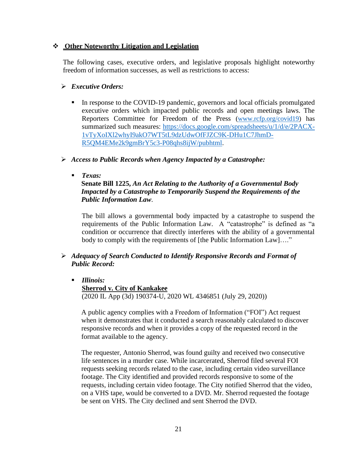#### ❖ **Other Noteworthy Litigation and Legislation**

The following cases, executive orders, and legislative proposals highlight noteworthy freedom of information successes, as well as restrictions to access:

#### ➢ *Executive Orders:*

In response to the COVID-19 pandemic, governors and local officials promulgated executive orders which impacted public records and open meetings laws. The Reporters Committee for Freedom of the Press [\(www.rcfp.org/covid19\)](http://www.rcfp.org/covid19) has summarized such measures: [https://docs.google.com/spreadsheets/u/1/d/e/2PACX-](https://docs.google.com/spreadsheets/u/1/d/e/2PACX-1vTyXoIXl2whyI9akO7WT5tL9dzUdwOfFJZC9K-DHu1C7JhmD-R5QM4EMe2k9gmBrY5c3-P08qhs8ijW/pubhtml)[1vTyXoIXl2whyI9akO7WT5tL9dzUdwOfFJZC9K-DHu1C7JhmD-](https://docs.google.com/spreadsheets/u/1/d/e/2PACX-1vTyXoIXl2whyI9akO7WT5tL9dzUdwOfFJZC9K-DHu1C7JhmD-R5QM4EMe2k9gmBrY5c3-P08qhs8ijW/pubhtml)[R5QM4EMe2k9gmBrY5c3-P08qhs8ijW/pubhtml](https://docs.google.com/spreadsheets/u/1/d/e/2PACX-1vTyXoIXl2whyI9akO7WT5tL9dzUdwOfFJZC9K-DHu1C7JhmD-R5QM4EMe2k9gmBrY5c3-P08qhs8ijW/pubhtml).

#### ➢ *Access to Public Records when Agency Impacted by a Catastrophe:*

▪ *Texas:*

**Senate Bill 1225,** *An Act Relating to the Authority of a Governmental Body Impacted by a Catastrophe to Temporarily Suspend the Requirements of the Public Information Law*.

The bill allows a governmental body impacted by a catastrophe to suspend the requirements of the Public Information Law. A "catastrophe" is defined as "a condition or occurrence that directly interferes with the ability of a governmental body to comply with the requirements of [the Public Information Law]...."

### ➢ *Adequacy of Search Conducted to Identify Responsive Records and Format of Public Record:*

▪ *Illinois:*

**Sherrod v. City of Kankakee** (2020 IL App (3d) 190374-U, 2020 WL 4346851 (July 29, 2020))

A public agency complies with a Freedom of Information ("FOI") Act request when it demonstrates that it conducted a search reasonably calculated to discover responsive records and when it provides a copy of the requested record in the format available to the agency.

The requester, Antonio Sherrod, was found guilty and received two consecutive life sentences in a murder case. While incarcerated, Sherrod filed several FOI requests seeking records related to the case, including certain video surveillance footage. The City identified and provided records responsive to some of the requests, including certain video footage. The City notified Sherrod that the video, on a VHS tape, would be converted to a DVD. Mr. Sherrod requested the footage be sent on VHS. The City declined and sent Sherrod the DVD.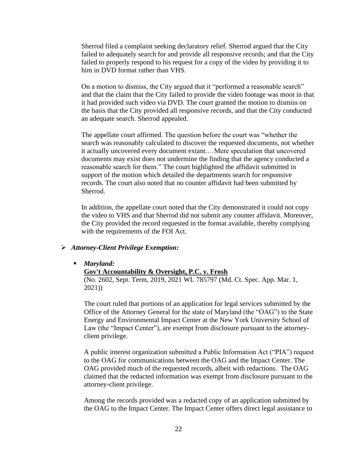Sherrod filed a complaint seeking declaratory relief. Sherrod argued that the City failed to adequately search for and provide all responsive records; and that the City failed to properly respond to his request for a copy of the video by providing it to him in DVD format rather than VHS.

On a motion to dismiss, the City argued that it "performed a reasonable search" and that the claim that the City failed to provide the video footage was moot in that it had provided such video via DVD. The court granted the motion to dismiss on the basis that the City provided all responsive records, and that the City conducted an adequate search. Sherrod appealed.

The appellate court affirmed. The question before the court was "whether the search was reasonably calculated to discover the requested documents, not whether it actually uncovered every document extant.…Mere speculation that uncovered documents may exist does not undermine the finding that the agency conducted a reasonable search for them." The court highlighted the affidavit submitted in support of the motion which detailed the departments search for responsive records. The court also noted that no counter affidavit had been submitted by Sherrod.

In addition, the appellate court noted that the City demonstrated it could not copy the video to VHS and that Sherrod did not submit any counter affidavit. Moreover, the City provided the record requested in the format available, thereby complying with the requirements of the FOI Act.

#### ➢ *Attorney-Client Privilege Exemption:*

▪ *Maryland:*

#### **Gov't Accountability & Oversight, P.C. v. Frosh**

(No. 2602, Sept. Term, 2019, 2021 WL 785797 (Md. Ct. Spec. App. Mar. 1, 2021))

The court ruled that portions of an application for legal services submitted by the Office of the Attorney General for the state of Maryland (the "OAG") to the State Energy and Environmental Impact Center at the New York University School of Law (the "Impact Center"), are exempt from disclosure pursuant to the attorneyclient privilege.

A public interest organization submitted a Public Information Act ("PIA") request to the OAG for communications between the OAG and the Impact Center. The OAG provided much of the requested records, albeit with redactions. The OAG claimed that the redacted information was exempt from disclosure pursuant to the attorney-client privilege.

Among the records provided was a redacted copy of an application submitted by the OAG to the Impact Center. The Impact Center offers direct legal assistance to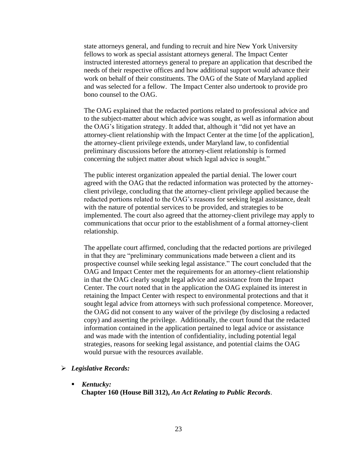state attorneys general, and funding to recruit and hire New York University fellows to work as special assistant attorneys general. The Impact Center instructed interested attorneys general to prepare an application that described the needs of their respective offices and how additional support would advance their work on behalf of their constituents. The OAG of the State of Maryland applied and was selected for a fellow. The Impact Center also undertook to provide pro bono counsel to the OAG.

The OAG explained that the redacted portions related to professional advice and to the subject-matter about which advice was sought, as well as information about the OAG's litigation strategy. It added that, although it "did not yet have an attorney-client relationship with the Impact Center at the time [of the application], the attorney-client privilege extends, under Maryland law, to confidential preliminary discussions before the attorney-client relationship is formed concerning the subject matter about which legal advice is sought."

The public interest organization appealed the partial denial. The lower court agreed with the OAG that the redacted information was protected by the attorneyclient privilege, concluding that the attorney-client privilege applied because the redacted portions related to the OAG's reasons for seeking legal assistance, dealt with the nature of potential services to be provided, and strategies to be implemented. The court also agreed that the attorney-client privilege may apply to communications that occur prior to the establishment of a formal attorney-client relationship.

The appellate court affirmed, concluding that the redacted portions are privileged in that they are "preliminary communications made between a client and its prospective counsel while seeking legal assistance." The court concluded that the OAG and Impact Center met the requirements for an attorney-client relationship in that the OAG clearly sought legal advice and assistance from the Impact Center. The court noted that in the application the OAG explained its interest in retaining the Impact Center with respect to environmental protections and that it sought legal advice from attorneys with such professional competence. Moreover, the OAG did not consent to any waiver of the privilege (by disclosing a redacted copy) and asserting the privilege. Additionally, the court found that the redacted information contained in the application pertained to legal advice or assistance and was made with the intention of confidentiality, including potential legal strategies, reasons for seeking legal assistance, and potential claims the OAG would pursue with the resources available.

#### ➢ *Legislative Records:*

▪ *Kentucky:* **Chapter 160 (House Bill 312),** *An Act Relating to Public Records*.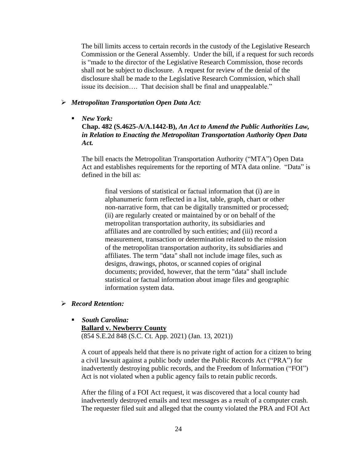The bill limits access to certain records in the custody of the Legislative Research Commission or the General Assembly. Under the bill, if a request for such records is "made to the director of the Legislative Research Commission, those records shall not be subject to disclosure. A request for review of the denial of the disclosure shall be made to the Legislative Research Commission, which shall issue its decision…. That decision shall be final and unappealable."

#### ➢ *Metropolitan Transportation Open Data Act:*

■ *New York:* 

**Chap. 482 (S.4625-A/A.1442-B),** *An Act to Amend the Public Authorities Law, in Relation to Enacting the Metropolitan Transportation Authority Open Data Act.*

The bill enacts the Metropolitan Transportation Authority ("MTA") Open Data Act and establishes requirements for the reporting of MTA data online. "Data" is defined in the bill as:

> final versions of statistical or factual information that (i) are in alphanumeric form reflected in a list, table, graph, chart or other non-narrative form, that can be digitally transmitted or processed; (ii) are regularly created or maintained by or on behalf of the metropolitan transportation authority, its subsidiaries and affiliates and are controlled by such entities; and (iii) record a measurement, transaction or determination related to the mission of the metropolitan transportation authority, its subsidiaries and affiliates. The term "data" shall not include image files, such as designs, drawings, photos, or scanned copies of original documents; provided, however, that the term "data" shall include statistical or factual information about image files and geographic information system data.

#### ➢ *Record Retention:*

▪ *South Carolina:* **Ballard v. Newberry County** (854 S.E.2d 848 (S.C. Ct. App. 2021) (Jan. 13, 2021))

A court of appeals held that there is no private right of action for a citizen to bring a civil lawsuit against a public body under the Public Records Act ("PRA") for inadvertently destroying public records, and the Freedom of Information ("FOI") Act is not violated when a public agency fails to retain public records.

After the filing of a FOI Act request, it was discovered that a local county had inadvertently destroyed emails and text messages as a result of a computer crash. The requester filed suit and alleged that the county violated the PRA and FOI Act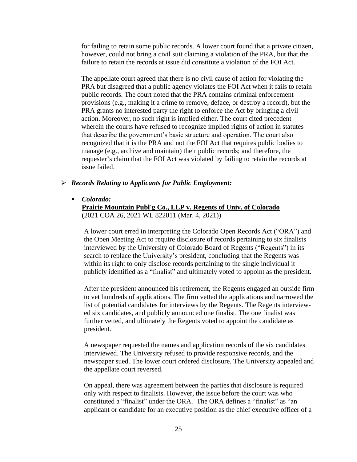for failing to retain some public records. A lower court found that a private citizen, however, could not bring a civil suit claiming a violation of the PRA, but that the failure to retain the records at issue did constitute a violation of the FOI Act.

The appellate court agreed that there is no civil cause of action for violating the PRA but disagreed that a public agency violates the FOI Act when it fails to retain public records. The court noted that the PRA contains criminal enforcement provisions (e.g., making it a crime to remove, deface, or destroy a record), but the PRA grants no interested party the right to enforce the Act by bringing a civil action. Moreover, no such right is implied either. The court cited precedent wherein the courts have refused to recognize implied rights of action in statutes that describe the government's basic structure and operation. The court also recognized that it is the PRA and not the FOI Act that requires public bodies to manage (e.g., archive and maintain) their public records; and therefore, the requester's claim that the FOI Act was violated by failing to retain the records at issue failed.

#### ➢ *Records Relating to Applicants for Public Employment:*

▪ *Colorado:* 

#### **Prairie Mountain Publ'g Co., LLP v. Regents of Univ. of Colorado** (2021 COA 26, 2021 WL 822011 (Mar. 4, 2021))

A lower court erred in interpreting the Colorado Open Records Act ("ORA") and the Open Meeting Act to require disclosure of records pertaining to six finalists interviewed by the University of Colorado Board of Regents ("Regents") in its search to replace the University's president, concluding that the Regents was within its right to only disclose records pertaining to the single individual it publicly identified as a "finalist" and ultimately voted to appoint as the president.

After the president announced his retirement, the Regents engaged an outside firm to vet hundreds of applications. The firm vetted the applications and narrowed the list of potential candidates for interviews by the Regents. The Regents interviewed six candidates, and publicly announced one finalist. The one finalist was further vetted, and ultimately the Regents voted to appoint the candidate as president.

A newspaper requested the names and application records of the six candidates interviewed. The University refused to provide responsive records, and the newspaper sued. The lower court ordered disclosure. The University appealed and the appellate court reversed.

On appeal, there was agreement between the parties that disclosure is required only with respect to finalists. However, the issue before the court was who constituted a "finalist" under the ORA. The ORA defines a "finalist" as "an applicant or candidate for an executive position as the chief executive officer of a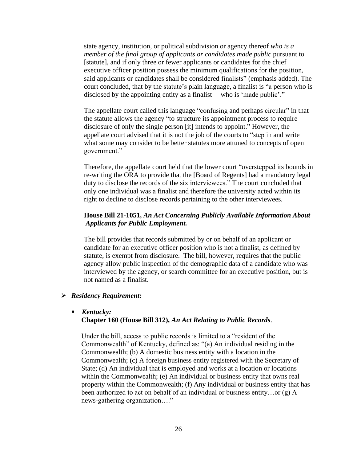state agency, institution, or political subdivision or agency thereof *who is a member of the final group of applicants or candidates made public* pursuant to [statute], and if only three or fewer applicants or candidates for the chief executive officer position possess the minimum qualifications for the position, said applicants or candidates shall be considered finalists" (emphasis added). The court concluded, that by the statute's plain language, a finalist is "a person who is disclosed by the appointing entity as a finalist— who is 'made public'."

The appellate court called this language "confusing and perhaps circular" in that the statute allows the agency "to structure its appointment process to require disclosure of only the single person [it] intends to appoint." However, the appellate court advised that it is not the job of the courts to "step in and write what some may consider to be better statutes more attuned to concepts of open government."

Therefore, the appellate court held that the lower court "overstepped its bounds in re-writing the ORA to provide that the [Board of Regents] had a mandatory legal duty to disclose the records of the six interviewees." The court concluded that only one individual was a finalist and therefore the university acted within its right to decline to disclose records pertaining to the other interviewees.

#### **House Bill 21-1051,** *An Act Concerning Publicly Available Information About Applicants for Public Employment.*

The bill provides that records submitted by or on behalf of an applicant or candidate for an executive officer position who is not a finalist, as defined by statute, is exempt from disclosure. The bill, however, requires that the public agency allow public inspection of the demographic data of a candidate who was interviewed by the agency, or search committee for an executive position, but is not named as a finalist.

#### ➢ *Residency Requirement:*

#### ▪ *Kentucky:* **Chapter 160 (House Bill 312),** *An Act Relating to Public Records*.

Under the bill, access to public records is limited to a "resident of the Commonwealth" of Kentucky, defined as: "(a) An individual residing in the Commonwealth; (b) A domestic business entity with a location in the Commonwealth; (c) A foreign business entity registered with the Secretary of State; (d) An individual that is employed and works at a location or locations within the Commonwealth; (e) An individual or business entity that owns real property within the Commonwealth; (f) Any individual or business entity that has been authorized to act on behalf of an individual or business entity…or (g) A news-gathering organization…."